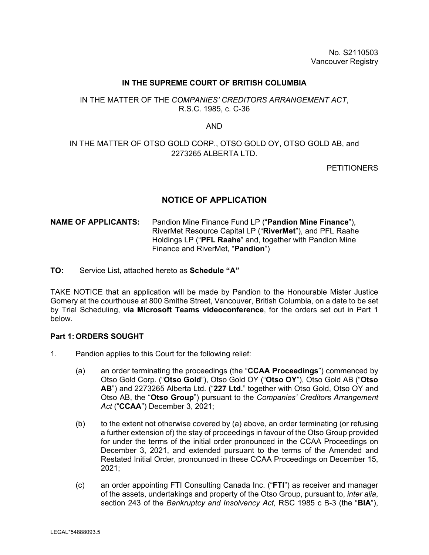#### **IN THE SUPREME COURT OF BRITISH COLUMBIA**

## IN THE MATTER OF THE *COMPANIES' CREDITORS ARRANGEMENT ACT*, R.S.C. 1985, c. C-36

#### AND

# IN THE MATTER OF OTSO GOLD CORP., OTSO GOLD OY, OTSO GOLD AB, and 2273265 ALBERTA LTD.

**PETITIONERS** 

# **NOTICE OF APPLICATION**

## **NAME OF APPLICANTS:** Pandion Mine Finance Fund LP ("**Pandion Mine Finance**"), RiverMet Resource Capital LP ("**RiverMet**"), and PFL Raahe Holdings LP ("**PFL Raahe**" and, together with Pandion Mine Finance and RiverMet, "**Pandion**")

**TO:** Service List, attached hereto as **Schedule "A"** 

TAKE NOTICE that an application will be made by Pandion to the Honourable Mister Justice Gomery at the courthouse at 800 Smithe Street, Vancouver, British Columbia, on a date to be set by Trial Scheduling, **via Microsoft Teams videoconference**, for the orders set out in Part 1 below.

#### **Part 1: ORDERS SOUGHT**

- 1. Pandion applies to this Court for the following relief:
	- (a) an order terminating the proceedings (the "**CCAA Proceedings**") commenced by Otso Gold Corp. ("**Otso Gold**"), Otso Gold OY ("**Otso OY**"), Otso Gold AB ("**Otso AB**") and 2273265 Alberta Ltd. ("**227 Ltd.**" together with Otso Gold, Otso OY and Otso AB, the "**Otso Group**") pursuant to the *Companies' Creditors Arrangement Act* ("**CCAA**") December 3, 2021;
	- (b) to the extent not otherwise covered by (a) above, an order terminating (or refusing a further extension of) the stay of proceedings in favour of the Otso Group provided for under the terms of the initial order pronounced in the CCAA Proceedings on December 3, 2021, and extended pursuant to the terms of the Amended and Restated Initial Order, pronounced in these CCAA Proceedings on December 15, 2021;
	- (c) an order appointing FTI Consulting Canada Inc. ("**FTI**") as receiver and manager of the assets, undertakings and property of the Otso Group, pursuant to, *inter alia*, section 243 of the *Bankruptcy and Insolvency Act,* RSC 1985 c B-3 (the "**BIA**"),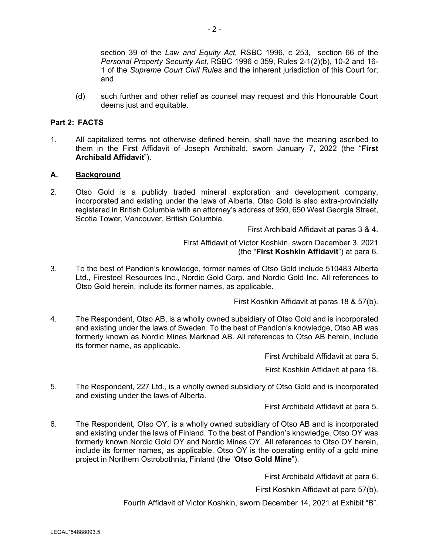section 39 of the *Law and Equity Act,* RSBC 1996, c 253, section 66 of the *Personal Property Security Act,* RSBC 1996 c 359, Rules 2-1(2)(b), 10-2 and 16- 1 of the *Supreme Court Civil Rules* and the inherent jurisdiction of this Court for; and

(d) such further and other relief as counsel may request and this Honourable Court deems just and equitable.

## **Part 2: FACTS**

1. All capitalized terms not otherwise defined herein, shall have the meaning ascribed to them in the First Affidavit of Joseph Archibald, sworn January 7, 2022 (the "**First Archibald Affidavit**").

## **A. Background**

2. Otso Gold is a publicly traded mineral exploration and development company, incorporated and existing under the laws of Alberta. Otso Gold is also extra-provincially registered in British Columbia with an attorney's address of 950, 650 West Georgia Street, Scotia Tower, Vancouver, British Columbia.

First Archibald Affidavit at paras 3 & 4.

First Affidavit of Victor Koshkin, sworn December 3, 2021 (the "**First Koshkin Affidavit**") at para 6.

3. To the best of Pandion's knowledge, former names of Otso Gold include 510483 Alberta Ltd., Firesteel Resources Inc., Nordic Gold Corp. and Nordic Gold Inc. All references to Otso Gold herein, include its former names, as applicable.

First Koshkin Affidavit at paras 18 & 57(b).

4. The Respondent, Otso AB, is a wholly owned subsidiary of Otso Gold and is incorporated and existing under the laws of Sweden. To the best of Pandion's knowledge, Otso AB was formerly known as Nordic Mines Marknad AB. All references to Otso AB herein, include its former name, as applicable.

First Archibald Affidavit at para 5.

First Koshkin Affidavit at para 18.

5. The Respondent, 227 Ltd., is a wholly owned subsidiary of Otso Gold and is incorporated and existing under the laws of Alberta.

First Archibald Affidavit at para 5.

6. The Respondent, Otso OY, is a wholly owned subsidiary of Otso AB and is incorporated and existing under the laws of Finland. To the best of Pandion's knowledge, Otso OY was formerly known Nordic Gold OY and Nordic Mines OY. All references to Otso OY herein, include its former names, as applicable. Otso OY is the operating entity of a gold mine project in Northern Ostrobothnia, Finland (the "**Otso Gold Mine**").

First Archibald Affidavit at para 6.

First Koshkin Affidavit at para 57(b).

Fourth Affidavit of Victor Koshkin, sworn December 14, 2021 at Exhibit "B".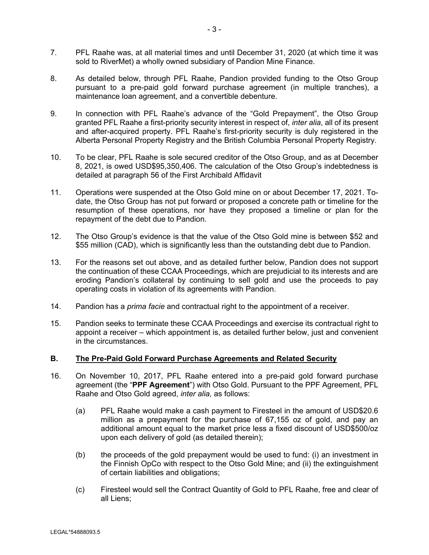- 7. PFL Raahe was, at all material times and until December 31, 2020 (at which time it was sold to RiverMet) a wholly owned subsidiary of Pandion Mine Finance.
- 8. As detailed below, through PFL Raahe, Pandion provided funding to the Otso Group pursuant to a pre-paid gold forward purchase agreement (in multiple tranches), a maintenance loan agreement, and a convertible debenture.
- 9. In connection with PFL Raahe's advance of the "Gold Prepayment", the Otso Group granted PFL Raahe a first-priority security interest in respect of, *inter alia*, all of its present and after-acquired property. PFL Raahe's first-priority security is duly registered in the Alberta Personal Property Registry and the British Columbia Personal Property Registry.
- 10. To be clear, PFL Raahe is sole secured creditor of the Otso Group, and as at December 8, 2021, is owed USD\$95,350,406. The calculation of the Otso Group's indebtedness is detailed at paragraph 56 of the First Archibald Affidavit
- 11. Operations were suspended at the Otso Gold mine on or about December 17, 2021. Todate, the Otso Group has not put forward or proposed a concrete path or timeline for the resumption of these operations, nor have they proposed a timeline or plan for the repayment of the debt due to Pandion.
- 12. The Otso Group's evidence is that the value of the Otso Gold mine is between \$52 and \$55 million (CAD), which is significantly less than the outstanding debt due to Pandion.
- 13. For the reasons set out above, and as detailed further below, Pandion does not support the continuation of these CCAA Proceedings, which are prejudicial to its interests and are eroding Pandion's collateral by continuing to sell gold and use the proceeds to pay operating costs in violation of its agreements with Pandion.
- 14. Pandion has a *prima facie* and contractual right to the appointment of a receiver.
- 15. Pandion seeks to terminate these CCAA Proceedings and exercise its contractual right to appoint a receiver – which appointment is, as detailed further below, just and convenient in the circumstances.

## **B. The Pre-Paid Gold Forward Purchase Agreements and Related Security**

- 16. On November 10, 2017, PFL Raahe entered into a pre-paid gold forward purchase agreement (the "**PPF Agreement**") with Otso Gold. Pursuant to the PPF Agreement, PFL Raahe and Otso Gold agreed, *inter alia,* as follows:
	- (a) PFL Raahe would make a cash payment to Firesteel in the amount of USD\$20.6 million as a prepayment for the purchase of 67,155 oz of gold, and pay an additional amount equal to the market price less a fixed discount of USD\$500/oz upon each delivery of gold (as detailed therein);
	- (b) the proceeds of the gold prepayment would be used to fund: (i) an investment in the Finnish OpCo with respect to the Otso Gold Mine; and (ii) the extinguishment of certain liabilities and obligations;
	- (c) Firesteel would sell the Contract Quantity of Gold to PFL Raahe, free and clear of all Liens;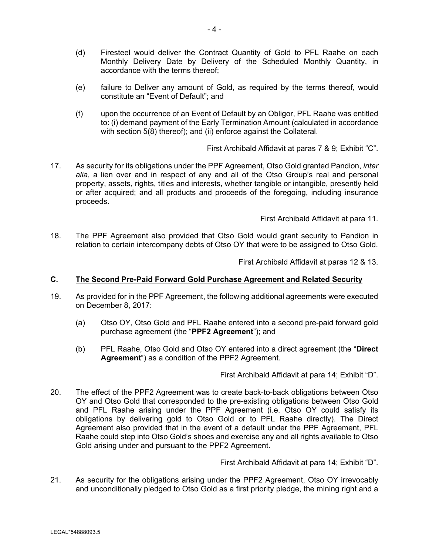- (d) Firesteel would deliver the Contract Quantity of Gold to PFL Raahe on each Monthly Delivery Date by Delivery of the Scheduled Monthly Quantity, in accordance with the terms thereof;
- (e) failure to Deliver any amount of Gold, as required by the terms thereof, would constitute an "Event of Default"; and
- (f) upon the occurrence of an Event of Default by an Obligor, PFL Raahe was entitled to: (i) demand payment of the Early Termination Amount (calculated in accordance with section 5(8) thereof); and (ii) enforce against the Collateral.

First Archibald Affidavit at paras 7 & 9; Exhibit "C".

17. As security for its obligations under the PPF Agreement, Otso Gold granted Pandion, *inter alia*, a lien over and in respect of any and all of the Otso Group's real and personal property, assets, rights, titles and interests, whether tangible or intangible, presently held or after acquired; and all products and proceeds of the foregoing, including insurance proceeds.

First Archibald Affidavit at para 11.

18. The PPF Agreement also provided that Otso Gold would grant security to Pandion in relation to certain intercompany debts of Otso OY that were to be assigned to Otso Gold.

First Archibald Affidavit at paras 12 & 13.

#### **C. The Second Pre-Paid Forward Gold Purchase Agreement and Related Security**

- 19. As provided for in the PPF Agreement, the following additional agreements were executed on December 8, 2017:
	- (a) Otso OY, Otso Gold and PFL Raahe entered into a second pre-paid forward gold purchase agreement (the "**PPF2 Agreement**"); and
	- (b) PFL Raahe, Otso Gold and Otso OY entered into a direct agreement (the "**Direct Agreement**") as a condition of the PPF2 Agreement.

First Archibald Affidavit at para 14; Exhibit "D".

20. The effect of the PPF2 Agreement was to create back-to-back obligations between Otso OY and Otso Gold that corresponded to the pre-existing obligations between Otso Gold and PFL Raahe arising under the PPF Agreement (i.e. Otso OY could satisfy its obligations by delivering gold to Otso Gold or to PFL Raahe directly). The Direct Agreement also provided that in the event of a default under the PPF Agreement, PFL Raahe could step into Otso Gold's shoes and exercise any and all rights available to Otso Gold arising under and pursuant to the PPF2 Agreement.

First Archibald Affidavit at para 14; Exhibit "D".

21. As security for the obligations arising under the PPF2 Agreement, Otso OY irrevocably and unconditionally pledged to Otso Gold as a first priority pledge, the mining right and a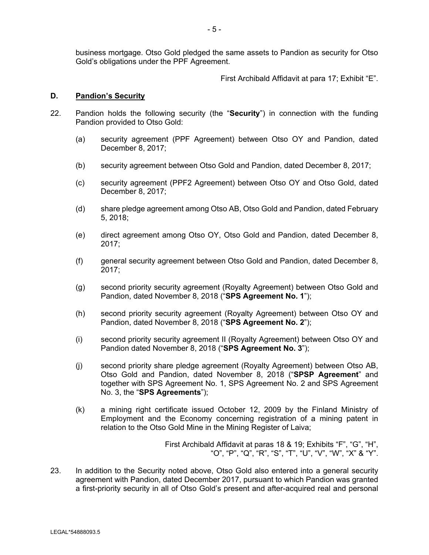- 5 -

business mortgage. Otso Gold pledged the same assets to Pandion as security for Otso Gold's obligations under the PPF Agreement.

First Archibald Affidavit at para 17; Exhibit "E".

## **D. Pandion's Security**

- 22. Pandion holds the following security (the "**Security**") in connection with the funding Pandion provided to Otso Gold:
	- (a) security agreement (PPF Agreement) between Otso OY and Pandion, dated December 8, 2017;
	- (b) security agreement between Otso Gold and Pandion, dated December 8, 2017;
	- (c) security agreement (PPF2 Agreement) between Otso OY and Otso Gold, dated December 8, 2017;
	- (d) share pledge agreement among Otso AB, Otso Gold and Pandion, dated February 5, 2018;
	- (e) direct agreement among Otso OY, Otso Gold and Pandion, dated December 8, 2017;
	- (f) general security agreement between Otso Gold and Pandion, dated December 8, 2017;
	- (g) second priority security agreement (Royalty Agreement) between Otso Gold and Pandion, dated November 8, 2018 ("**SPS Agreement No. 1**");
	- (h) second priority security agreement (Royalty Agreement) between Otso OY and Pandion, dated November 8, 2018 ("**SPS Agreement No. 2**");
	- (i) second priority security agreement II (Royalty Agreement) between Otso OY and Pandion dated November 8, 2018 ("**SPS Agreement No. 3**");
	- (j) second priority share pledge agreement (Royalty Agreement) between Otso AB, Otso Gold and Pandion, dated November 8, 2018 ("**SPSP Agreement**" and together with SPS Agreement No. 1, SPS Agreement No. 2 and SPS Agreement No. 3, the "**SPS Agreements**");
	- (k) a mining right certificate issued October 12, 2009 by the Finland Ministry of Employment and the Economy concerning registration of a mining patent in relation to the Otso Gold Mine in the Mining Register of Laiva;

First Archibald Affidavit at paras 18 & 19; Exhibits "F", "G", "H", "O", "P", "Q", "R", "S", "T", "U", "V", "W", "X" & "Y".

23. In addition to the Security noted above, Otso Gold also entered into a general security agreement with Pandion, dated December 2017, pursuant to which Pandion was granted a first-priority security in all of Otso Gold's present and after-acquired real and personal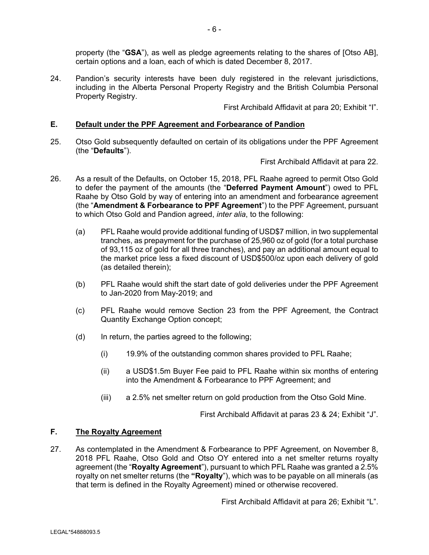property (the "**GSA**"), as well as pledge agreements relating to the shares of [Otso AB], certain options and a loan, each of which is dated December 8, 2017.

24. Pandion's security interests have been duly registered in the relevant jurisdictions, including in the Alberta Personal Property Registry and the British Columbia Personal Property Registry.

First Archibald Affidavit at para 20; Exhibit "I".

#### **E. Default under the PPF Agreement and Forbearance of Pandion**

25. Otso Gold subsequently defaulted on certain of its obligations under the PPF Agreement (the "**Defaults**").

First Archibald Affidavit at para 22.

- 26. As a result of the Defaults, on October 15, 2018, PFL Raahe agreed to permit Otso Gold to defer the payment of the amounts (the "**Deferred Payment Amount**") owed to PFL Raahe by Otso Gold by way of entering into an amendment and forbearance agreement (the "**Amendment & Forbearance to PPF Agreement**") to the PPF Agreement, pursuant to which Otso Gold and Pandion agreed, *inter alia*, to the following:
	- (a) PFL Raahe would provide additional funding of USD\$7 million, in two supplemental tranches, as prepayment for the purchase of 25,960 oz of gold (for a total purchase of 93,115 oz of gold for all three tranches), and pay an additional amount equal to the market price less a fixed discount of USD\$500/oz upon each delivery of gold (as detailed therein);
	- (b) PFL Raahe would shift the start date of gold deliveries under the PPF Agreement to Jan-2020 from May-2019; and
	- (c) PFL Raahe would remove Section 23 from the PPF Agreement, the Contract Quantity Exchange Option concept;
	- (d) In return, the parties agreed to the following;
		- (i) 19.9% of the outstanding common shares provided to PFL Raahe;
		- (ii) a USD\$1.5m Buyer Fee paid to PFL Raahe within six months of entering into the Amendment & Forbearance to PPF Agreement; and
		- (iii) a 2.5% net smelter return on gold production from the Otso Gold Mine.

First Archibald Affidavit at paras 23 & 24; Exhibit "J".

## **F. The Royalty Agreement**

27. As contemplated in the Amendment & Forbearance to PPF Agreement, on November 8, 2018 PFL Raahe, Otso Gold and Otso OY entered into a net smelter returns royalty agreement (the "**Royalty Agreement**"), pursuant to which PFL Raahe was granted a 2.5% royalty on net smelter returns (the **"Royalty**"), which was to be payable on all minerals (as that term is defined in the Royalty Agreement) mined or otherwise recovered.

First Archibald Affidavit at para 26; Exhibit "L".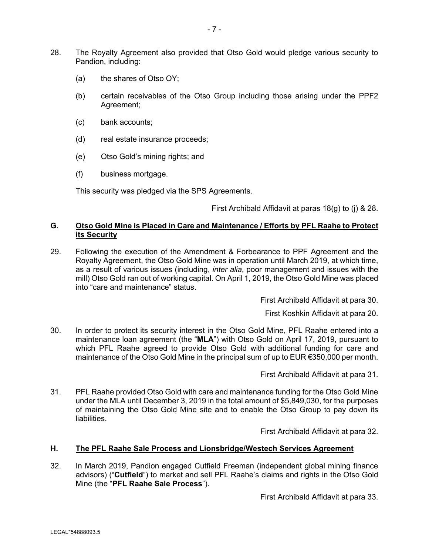- 28. The Royalty Agreement also provided that Otso Gold would pledge various security to Pandion, including:
	- (a) the shares of Otso OY;
	- (b) certain receivables of the Otso Group including those arising under the PPF2 Agreement;
	- (c) bank accounts;
	- (d) real estate insurance proceeds;
	- (e) Otso Gold's mining rights; and
	- (f) business mortgage.

This security was pledged via the SPS Agreements.

First Archibald Affidavit at paras 18(g) to (j) & 28.

## **G. Otso Gold Mine is Placed in Care and Maintenance / Efforts by PFL Raahe to Protect its Security**

29. Following the execution of the Amendment & Forbearance to PPF Agreement and the Royalty Agreement, the Otso Gold Mine was in operation until March 2019, at which time, as a result of various issues (including, *inter alia*, poor management and issues with the mill) Otso Gold ran out of working capital. On April 1, 2019, the Otso Gold Mine was placed into "care and maintenance" status.

First Archibald Affidavit at para 30.

First Koshkin Affidavit at para 20.

30. In order to protect its security interest in the Otso Gold Mine, PFL Raahe entered into a maintenance loan agreement (the "**MLA**") with Otso Gold on April 17, 2019, pursuant to which PFL Raahe agreed to provide Otso Gold with additional funding for care and maintenance of the Otso Gold Mine in the principal sum of up to EUR €350,000 per month.

First Archibald Affidavit at para 31.

31. PFL Raahe provided Otso Gold with care and maintenance funding for the Otso Gold Mine under the MLA until December 3, 2019 in the total amount of \$5,849,030, for the purposes of maintaining the Otso Gold Mine site and to enable the Otso Group to pay down its liabilities.

First Archibald Affidavit at para 32.

## **H. The PFL Raahe Sale Process and Lionsbridge/Westech Services Agreement**

32. In March 2019, Pandion engaged Cutfield Freeman (independent global mining finance advisors) ("**Cutfield**") to market and sell PFL Raahe's claims and rights in the Otso Gold Mine (the "**PFL Raahe Sale Process**").

First Archibald Affidavit at para 33.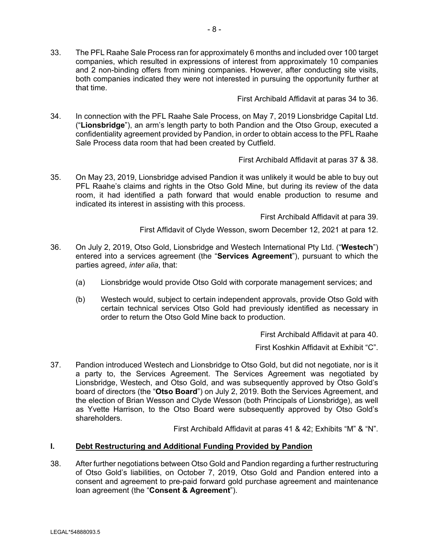both companies indicated they were not interested in pursuing the opportunity further at

First Archibald Affidavit at paras 34 to 36.

34. In connection with the PFL Raahe Sale Process, on May 7, 2019 Lionsbridge Capital Ltd. ("**Lionsbridge**"), an arm's length party to both Pandion and the Otso Group, executed a confidentiality agreement provided by Pandion, in order to obtain access to the PFL Raahe Sale Process data room that had been created by Cutfield.

First Archibald Affidavit at paras 37 & 38.

35. On May 23, 2019, Lionsbridge advised Pandion it was unlikely it would be able to buy out PFL Raahe's claims and rights in the Otso Gold Mine, but during its review of the data room, it had identified a path forward that would enable production to resume and indicated its interest in assisting with this process.

First Archibald Affidavit at para 39.

First Affidavit of Clyde Wesson, sworn December 12, 2021 at para 12.

- 36. On July 2, 2019, Otso Gold, Lionsbridge and Westech International Pty Ltd. ("**Westech**") entered into a services agreement (the "**Services Agreement**"), pursuant to which the parties agreed, *inter alia*, that:
	- (a) Lionsbridge would provide Otso Gold with corporate management services; and
	- (b) Westech would, subject to certain independent approvals, provide Otso Gold with certain technical services Otso Gold had previously identified as necessary in order to return the Otso Gold Mine back to production.

First Archibald Affidavit at para 40.

First Koshkin Affidavit at Exhibit "C".

37. Pandion introduced Westech and Lionsbridge to Otso Gold, but did not negotiate, nor is it a party to, the Services Agreement. The Services Agreement was negotiated by Lionsbridge, Westech, and Otso Gold, and was subsequently approved by Otso Gold's board of directors (the "**Otso Board**") on July 2, 2019. Both the Services Agreement, and the election of Brian Wesson and Clyde Wesson (both Principals of Lionsbridge), as well as Yvette Harrison, to the Otso Board were subsequently approved by Otso Gold's shareholders.

First Archibald Affidavit at paras 41 & 42; Exhibits "M" & "N".

#### **I. Debt Restructuring and Additional Funding Provided by Pandion**

38. After further negotiations between Otso Gold and Pandion regarding a further restructuring of Otso Gold's liabilities, on October 7, 2019, Otso Gold and Pandion entered into a consent and agreement to pre-paid forward gold purchase agreement and maintenance loan agreement (the "**Consent & Agreement**").

that time.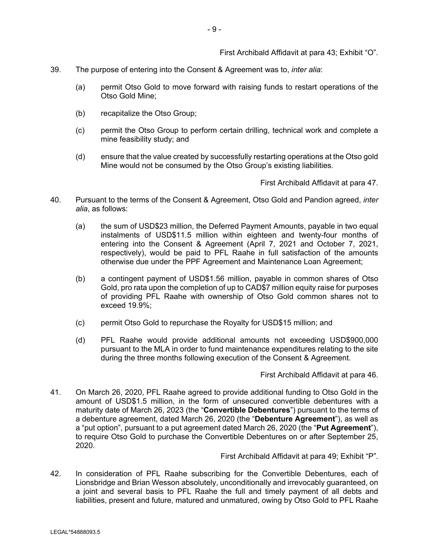First Archibald Affidavit at para 43; Exhibit "O".

- 39. The purpose of entering into the Consent & Agreement was to, *inter alia*:
	- (a) permit Otso Gold to move forward with raising funds to restart operations of the Otso Gold Mine;
	- (b) recapitalize the Otso Group;
	- (c) permit the Otso Group to perform certain drilling, technical work and complete a mine feasibility study; and
	- (d) ensure that the value created by successfully restarting operations at the Otso gold Mine would not be consumed by the Otso Group's existing liabilities.

First Archibald Affidavit at para 47.

- 40. Pursuant to the terms of the Consent & Agreement, Otso Gold and Pandion agreed, *inter alia*, as follows:
	- (a) the sum of USD\$23 million, the Deferred Payment Amounts, payable in two equal instalments of USD\$11.5 million within eighteen and twenty-four months of entering into the Consent & Agreement (April 7, 2021 and October 7, 2021, respectively), would be paid to PFL Raahe in full satisfaction of the amounts otherwise due under the PPF Agreement and Maintenance Loan Agreement;
	- (b) a contingent payment of USD\$1.56 million, payable in common shares of Otso Gold, pro rata upon the completion of up to CAD\$7 million equity raise for purposes of providing PFL Raahe with ownership of Otso Gold common shares not to exceed 19.9%;
	- (c) permit Otso Gold to repurchase the Royalty for USD\$15 million; and
	- (d) PFL Raahe would provide additional amounts not exceeding USD\$900,000 pursuant to the MLA in order to fund maintenance expenditures relating to the site during the three months following execution of the Consent & Agreement.

First Archibald Affidavit at para 46.

41. On March 26, 2020, PFL Raahe agreed to provide additional funding to Otso Gold in the amount of USD\$1.5 million, in the form of unsecured convertible debentures with a maturity date of March 26, 2023 (the "**Convertible Debentures**") pursuant to the terms of a debenture agreement, dated March 26, 2020 (the "**Debenture Agreement**"), as well as a "put option", pursuant to a put agreement dated March 26, 2020 (the "**Put Agreement**"), to require Otso Gold to purchase the Convertible Debentures on or after September 25, 2020.

First Archibald Affidavit at para 49; Exhibit "P".

42. In consideration of PFL Raahe subscribing for the Convertible Debentures, each of Lionsbridge and Brian Wesson absolutely, unconditionally and irrevocably guaranteed, on a joint and several basis to PFL Raahe the full and timely payment of all debts and liabilities, present and future, matured and unmatured, owing by Otso Gold to PFL Raahe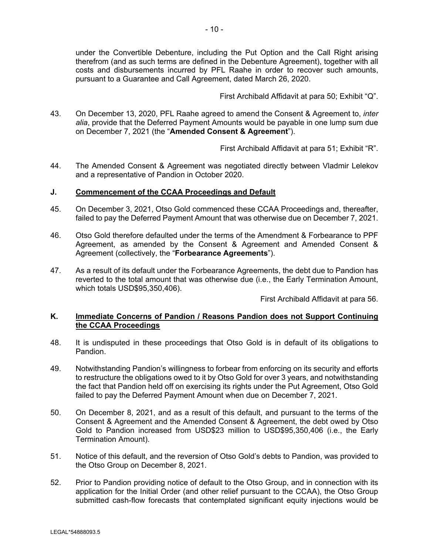under the Convertible Debenture, including the Put Option and the Call Right arising therefrom (and as such terms are defined in the Debenture Agreement), together with all costs and disbursements incurred by PFL Raahe in order to recover such amounts, pursuant to a Guarantee and Call Agreement, dated March 26, 2020.

First Archibald Affidavit at para 50; Exhibit "Q".

43. On December 13, 2020, PFL Raahe agreed to amend the Consent & Agreement to, *inter alia*, provide that the Deferred Payment Amounts would be payable in one lump sum due on December 7, 2021 (the "**Amended Consent & Agreement**").

First Archibald Affidavit at para 51; Exhibit "R".

44. The Amended Consent & Agreement was negotiated directly between Vladmir Lelekov and a representative of Pandion in October 2020.

## **J. Commencement of the CCAA Proceedings and Default**

- 45. On December 3, 2021, Otso Gold commenced these CCAA Proceedings and, thereafter, failed to pay the Deferred Payment Amount that was otherwise due on December 7, 2021.
- 46. Otso Gold therefore defaulted under the terms of the Amendment & Forbearance to PPF Agreement, as amended by the Consent & Agreement and Amended Consent & Agreement (collectively, the "**Forbearance Agreements**").
- 47. As a result of its default under the Forbearance Agreements, the debt due to Pandion has reverted to the total amount that was otherwise due (i.e., the Early Termination Amount, which totals USD\$95,350,406).

First Archibald Affidavit at para 56.

## **K. Immediate Concerns of Pandion / Reasons Pandion does not Support Continuing the CCAA Proceedings**

- 48. It is undisputed in these proceedings that Otso Gold is in default of its obligations to Pandion.
- 49. Notwithstanding Pandion's willingness to forbear from enforcing on its security and efforts to restructure the obligations owed to it by Otso Gold for over 3 years, and notwithstanding the fact that Pandion held off on exercising its rights under the Put Agreement, Otso Gold failed to pay the Deferred Payment Amount when due on December 7, 2021.
- 50. On December 8, 2021, and as a result of this default, and pursuant to the terms of the Consent & Agreement and the Amended Consent & Agreement, the debt owed by Otso Gold to Pandion increased from USD\$23 million to USD\$95,350,406 (i.e., the Early Termination Amount).
- 51. Notice of this default, and the reversion of Otso Gold's debts to Pandion, was provided to the Otso Group on December 8, 2021.
- 52. Prior to Pandion providing notice of default to the Otso Group, and in connection with its application for the Initial Order (and other relief pursuant to the CCAA), the Otso Group submitted cash-flow forecasts that contemplated significant equity injections would be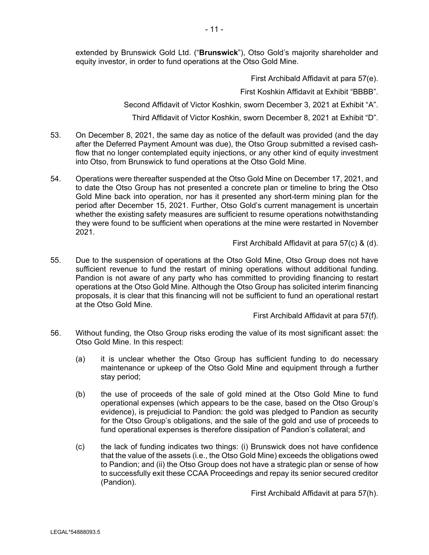extended by Brunswick Gold Ltd. ("**Brunswick**"), Otso Gold's majority shareholder and equity investor, in order to fund operations at the Otso Gold Mine.

First Archibald Affidavit at para 57(e).

First Koshkin Affidavit at Exhibit "BBBB".

Second Affidavit of Victor Koshkin, sworn December 3, 2021 at Exhibit "A".

Third Affidavit of Victor Koshkin, sworn December 8, 2021 at Exhibit "D".

- 53. On December 8, 2021, the same day as notice of the default was provided (and the day after the Deferred Payment Amount was due), the Otso Group submitted a revised cashflow that no longer contemplated equity injections, or any other kind of equity investment into Otso, from Brunswick to fund operations at the Otso Gold Mine.
- 54. Operations were thereafter suspended at the Otso Gold Mine on December 17, 2021, and to date the Otso Group has not presented a concrete plan or timeline to bring the Otso Gold Mine back into operation, nor has it presented any short-term mining plan for the period after December 15, 2021. Further, Otso Gold's current management is uncertain whether the existing safety measures are sufficient to resume operations notwithstanding they were found to be sufficient when operations at the mine were restarted in November 2021.

First Archibald Affidavit at para 57(c) & (d).

55. Due to the suspension of operations at the Otso Gold Mine, Otso Group does not have sufficient revenue to fund the restart of mining operations without additional funding. Pandion is not aware of any party who has committed to providing financing to restart operations at the Otso Gold Mine. Although the Otso Group has solicited interim financing proposals, it is clear that this financing will not be sufficient to fund an operational restart at the Otso Gold Mine.

First Archibald Affidavit at para 57(f).

- 56. Without funding, the Otso Group risks eroding the value of its most significant asset: the Otso Gold Mine. In this respect:
	- (a) it is unclear whether the Otso Group has sufficient funding to do necessary maintenance or upkeep of the Otso Gold Mine and equipment through a further stay period;
	- (b) the use of proceeds of the sale of gold mined at the Otso Gold Mine to fund operational expenses (which appears to be the case, based on the Otso Group's evidence), is prejudicial to Pandion: the gold was pledged to Pandion as security for the Otso Group's obligations, and the sale of the gold and use of proceeds to fund operational expenses is therefore dissipation of Pandion's collateral; and
	- (c) the lack of funding indicates two things: (i) Brunswick does not have confidence that the value of the assets (i.e., the Otso Gold Mine) exceeds the obligations owed to Pandion; and (ii) the Otso Group does not have a strategic plan or sense of how to successfully exit these CCAA Proceedings and repay its senior secured creditor (Pandion).

First Archibald Affidavit at para 57(h).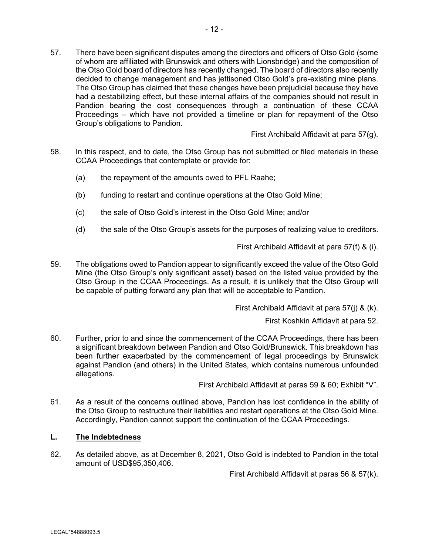57. There have been significant disputes among the directors and officers of Otso Gold (some of whom are affiliated with Brunswick and others with Lionsbridge) and the composition of the Otso Gold board of directors has recently changed. The board of directors also recently decided to change management and has jettisoned Otso Gold's pre-existing mine plans. The Otso Group has claimed that these changes have been prejudicial because they have had a destabilizing effect, but these internal affairs of the companies should not result in Pandion bearing the cost consequences through a continuation of these CCAA Proceedings – which have not provided a timeline or plan for repayment of the Otso Group's obligations to Pandion.

First Archibald Affidavit at para 57(g).

- 58. In this respect, and to date, the Otso Group has not submitted or filed materials in these CCAA Proceedings that contemplate or provide for:
	- (a) the repayment of the amounts owed to PFL Raahe;
	- (b) funding to restart and continue operations at the Otso Gold Mine;
	- (c) the sale of Otso Gold's interest in the Otso Gold Mine; and/or
	- (d) the sale of the Otso Group's assets for the purposes of realizing value to creditors.

First Archibald Affidavit at para 57(f) & (i).

59. The obligations owed to Pandion appear to significantly exceed the value of the Otso Gold Mine (the Otso Group's only significant asset) based on the listed value provided by the Otso Group in the CCAA Proceedings. As a result, it is unlikely that the Otso Group will be capable of putting forward any plan that will be acceptable to Pandion.

First Archibald Affidavit at para 57(j) & (k).

First Koshkin Affidavit at para 52.

60. Further, prior to and since the commencement of the CCAA Proceedings, there has been a significant breakdown between Pandion and Otso Gold/Brunswick. This breakdown has been further exacerbated by the commencement of legal proceedings by Brunswick against Pandion (and others) in the United States, which contains numerous unfounded allegations.

First Archibald Affidavit at paras 59 & 60; Exhibit "V".

61. As a result of the concerns outlined above, Pandion has lost confidence in the ability of the Otso Group to restructure their liabilities and restart operations at the Otso Gold Mine. Accordingly, Pandion cannot support the continuation of the CCAA Proceedings.

#### **L. The Indebtedness**

62. As detailed above, as at December 8, 2021, Otso Gold is indebted to Pandion in the total amount of USD\$95,350,406.

First Archibald Affidavit at paras 56 & 57(k).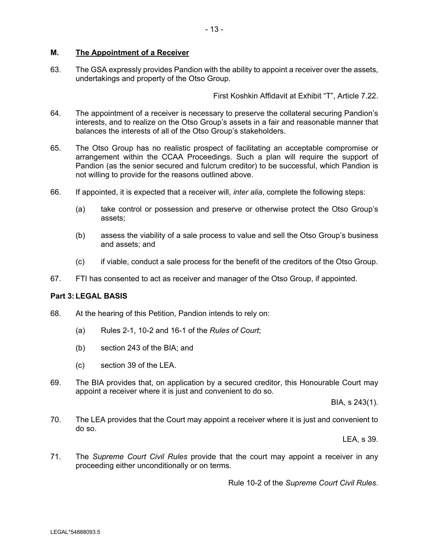#### **M. The Appointment of a Receiver**

63. The GSA expressly provides Pandion with the ability to appoint a receiver over the assets, undertakings and property of the Otso Group.

First Koshkin Affidavit at Exhibit "T", Article 7.22.

- 64. The appointment of a receiver is necessary to preserve the collateral securing Pandion's interests, and to realize on the Otso Group's assets in a fair and reasonable manner that balances the interests of all of the Otso Group's stakeholders.
- 65. The Otso Group has no realistic prospect of facilitating an acceptable compromise or arrangement within the CCAA Proceedings. Such a plan will require the support of Pandion (as the senior secured and fulcrum creditor) to be successful, which Pandion is not willing to provide for the reasons outlined above.
- 66. If appointed, it is expected that a receiver will, *inter alia*, complete the following steps:
	- (a) take control or possession and preserve or otherwise protect the Otso Group's assets;
	- (b) assess the viability of a sale process to value and sell the Otso Group's business and assets; and
	- (c) if viable, conduct a sale process for the benefit of the creditors of the Otso Group.
- 67. FTI has consented to act as receiver and manager of the Otso Group, if appointed.

#### **Part 3: LEGAL BASIS**

- 68. At the hearing of this Petition, Pandion intends to rely on:
	- (a) Rules 2-1, 10-2 and 16-1 of the *Rules of Court*;
	- (b) section 243 of the BIA; and
	- (c) section 39 of the LEA.
- 69. The BIA provides that, on application by a secured creditor, this Honourable Court may appoint a receiver where it is just and convenient to do so.

BIA, s 243(1).

70. The LEA provides that the Court may appoint a receiver where it is just and convenient to do so.

LEA, s 39.

71. The *Supreme Court Civil Rules* provide that the court may appoint a receiver in any proceeding either unconditionally or on terms.

Rule 10-2 of the *Supreme Court Civil Rules*.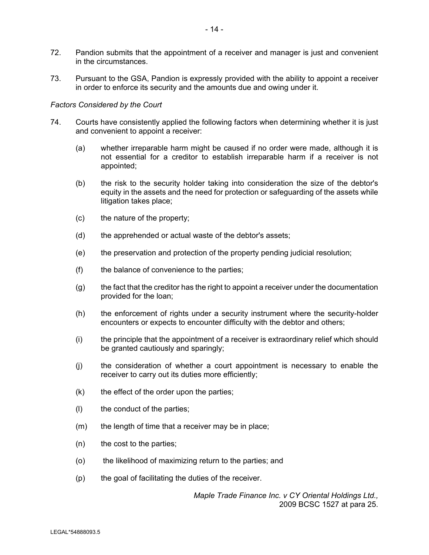- 72. Pandion submits that the appointment of a receiver and manager is just and convenient in the circumstances.
- 73. Pursuant to the GSA, Pandion is expressly provided with the ability to appoint a receiver in order to enforce its security and the amounts due and owing under it.

#### *Factors Considered by the Court*

- 74. Courts have consistently applied the following factors when determining whether it is just and convenient to appoint a receiver:
	- (a) whether irreparable harm might be caused if no order were made, although it is not essential for a creditor to establish irreparable harm if a receiver is not appointed;
	- (b) the risk to the security holder taking into consideration the size of the debtor's equity in the assets and the need for protection or safeguarding of the assets while litigation takes place;
	- (c) the nature of the property;
	- (d) the apprehended or actual waste of the debtor's assets;
	- (e) the preservation and protection of the property pending judicial resolution;
	- (f) the balance of convenience to the parties;
	- (g) the fact that the creditor has the right to appoint a receiver under the documentation provided for the loan;
	- (h) the enforcement of rights under a security instrument where the security-holder encounters or expects to encounter difficulty with the debtor and others;
	- (i) the principle that the appointment of a receiver is extraordinary relief which should be granted cautiously and sparingly;
	- (j) the consideration of whether a court appointment is necessary to enable the receiver to carry out its duties more efficiently;
	- $(k)$  the effect of the order upon the parties;
	- (l) the conduct of the parties;
	- (m) the length of time that a receiver may be in place;
	- (n) the cost to the parties;
	- (o) the likelihood of maximizing return to the parties; and
	- (p) the goal of facilitating the duties of the receiver.

*Maple Trade Finance Inc. v CY Oriental Holdings Ltd.,*  2009 BCSC 1527 at para 25.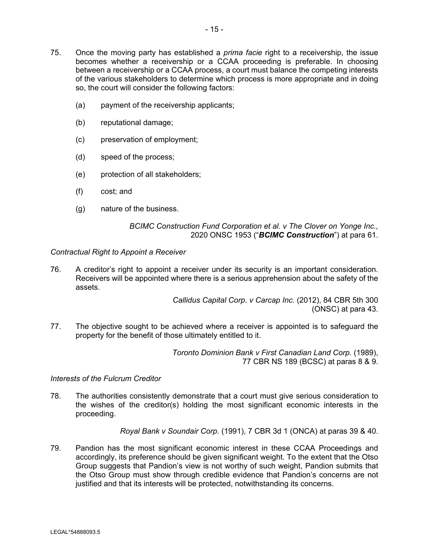- 75. Once the moving party has established a *prima facie* right to a receivership, the issue becomes whether a receivership or a CCAA proceeding is preferable. In choosing between a receivership or a CCAA process, a court must balance the competing interests of the various stakeholders to determine which process is more appropriate and in doing so, the court will consider the following factors:
	- (a) payment of the receivership applicants;
	- (b) reputational damage;
	- (c) preservation of employment;
	- (d) speed of the process;
	- (e) protection of all stakeholders;
	- (f) cost; and
	- (g) nature of the business.

#### *BCIMC Construction Fund Corporation et al. v The Clover on Yonge Inc.,*  2020 ONSC 1953 ("*BCIMC Construction*") at para 61.

#### *Contractual Right to Appoint a Receiver*

76. A creditor's right to appoint a receiver under its security is an important consideration. Receivers will be appointed where there is a serious apprehension about the safety of the assets.

> *Callidus Capital Corp. v Carcap Inc.* (2012), 84 CBR 5th 300 (ONSC) at para 43.

77. The objective sought to be achieved where a receiver is appointed is to safeguard the property for the benefit of those ultimately entitled to it.

> *Toronto Dominion Bank v First Canadian Land Corp.* (1989), 77 CBR NS 189 (BCSC) at paras 8 & 9.

#### *Interests of the Fulcrum Creditor*

78. The authorities consistently demonstrate that a court must give serious consideration to the wishes of the creditor(s) holding the most significant economic interests in the proceeding.

*Royal Bank v Soundair Corp.* (1991), 7 CBR 3d 1 (ONCA) at paras 39 & 40.

79. Pandion has the most significant economic interest in these CCAA Proceedings and accordingly, its preference should be given significant weight. To the extent that the Otso Group suggests that Pandion's view is not worthy of such weight, Pandion submits that the Otso Group must show through credible evidence that Pandion's concerns are not justified and that its interests will be protected, notwithstanding its concerns.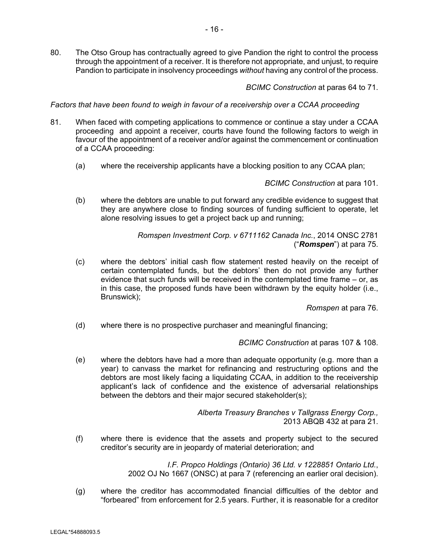80. The Otso Group has contractually agreed to give Pandion the right to control the process through the appointment of a receiver. It is therefore not appropriate, and unjust, to require Pandion to participate in insolvency proceedings *without* having any control of the process.

*BCIMC Construction* at paras 64 to 71.

*Factors that have been found to weigh in favour of a receivership over a CCAA proceeding* 

- 81. When faced with competing applications to commence or continue a stay under a CCAA proceeding and appoint a receiver, courts have found the following factors to weigh in favour of the appointment of a receiver and/or against the commencement or continuation of a CCAA proceeding:
	- (a) where the receivership applicants have a blocking position to any CCAA plan;

*BCIMC Construction* at para 101.

(b) where the debtors are unable to put forward any credible evidence to suggest that they are anywhere close to finding sources of funding sufficient to operate, let alone resolving issues to get a project back up and running;

> *Romspen Investment Corp. v 6711162 Canada Inc.*, 2014 ONSC 2781 ("*Romspen*") at para 75.

(c) where the debtors' initial cash flow statement rested heavily on the receipt of certain contemplated funds, but the debtors' then do not provide any further evidence that such funds will be received in the contemplated time frame – or, as in this case, the proposed funds have been withdrawn by the equity holder (i.e., Brunswick);

*Romspen* at para 76.

(d) where there is no prospective purchaser and meaningful financing;

*BCIMC Construction* at paras 107 & 108.

(e) where the debtors have had a more than adequate opportunity (e.g. more than a year) to canvass the market for refinancing and restructuring options and the debtors are most likely facing a liquidating CCAA, in addition to the receivership applicant's lack of confidence and the existence of adversarial relationships between the debtors and their major secured stakeholder(s);

> *Alberta Treasury Branches v Tallgrass Energy Corp.,*  2013 ABQB 432 at para 21.

(f) where there is evidence that the assets and property subject to the secured creditor's security are in jeopardy of material deterioration; and

> *I.F. Propco Holdings (Ontario) 36 Ltd. v 1228851 Ontario Ltd.*, 2002 OJ No 1667 (ONSC) at para 7 (referencing an earlier oral decision).

(g) where the creditor has accommodated financial difficulties of the debtor and "forbeared" from enforcement for 2.5 years. Further, it is reasonable for a creditor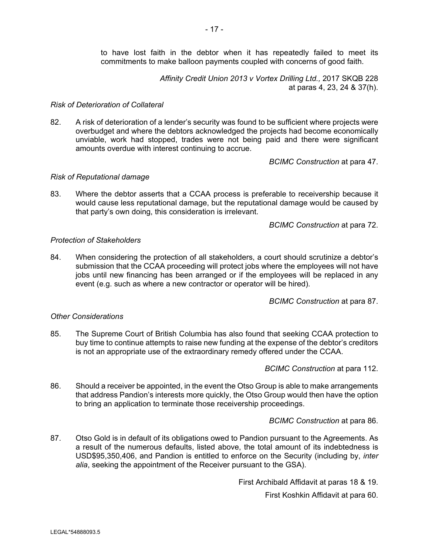to have lost faith in the debtor when it has repeatedly failed to meet its commitments to make balloon payments coupled with concerns of good faith.

> *Affinity Credit Union 2013 v Vortex Drilling Ltd.,* 2017 SKQB 228 at paras 4, 23, 24 & 37(h).

#### *Risk of Deterioration of Collateral*

82. A risk of deterioration of a lender's security was found to be sufficient where projects were overbudget and where the debtors acknowledged the projects had become economically unviable, work had stopped, trades were not being paid and there were significant amounts overdue with interest continuing to accrue.

*BCIMC Construction* at para 47.

## *Risk of Reputational damage*

83. Where the debtor asserts that a CCAA process is preferable to receivership because it would cause less reputational damage, but the reputational damage would be caused by that party's own doing, this consideration is irrelevant.

*BCIMC Construction* at para 72.

## *Protection of Stakeholders*

84. When considering the protection of all stakeholders, a court should scrutinize a debtor's submission that the CCAA proceeding will protect jobs where the employees will not have jobs until new financing has been arranged or if the employees will be replaced in any event (e.g. such as where a new contractor or operator will be hired).

*BCIMC Construction* at para 87.

## *Other Considerations*

85. The Supreme Court of British Columbia has also found that seeking CCAA protection to buy time to continue attempts to raise new funding at the expense of the debtor's creditors is not an appropriate use of the extraordinary remedy offered under the CCAA.

*BCIMC Construction* at para 112.

86. Should a receiver be appointed, in the event the Otso Group is able to make arrangements that address Pandion's interests more quickly, the Otso Group would then have the option to bring an application to terminate those receivership proceedings.

*BCIMC Construction* at para 86.

87. Otso Gold is in default of its obligations owed to Pandion pursuant to the Agreements. As a result of the numerous defaults, listed above, the total amount of its indebtedness is USD\$95,350,406, and Pandion is entitled to enforce on the Security (including by, *inter alia*, seeking the appointment of the Receiver pursuant to the GSA).

First Archibald Affidavit at paras 18 & 19.

First Koshkin Affidavit at para 60.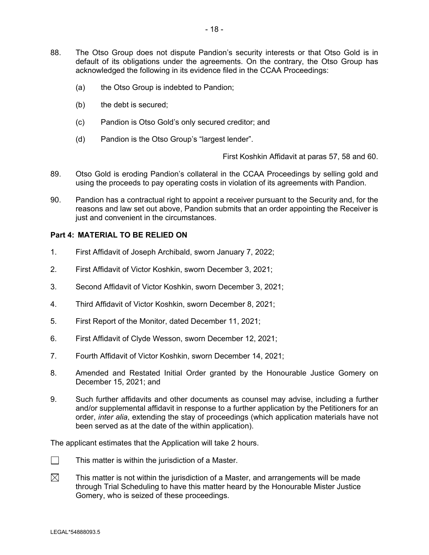- 88. The Otso Group does not dispute Pandion's security interests or that Otso Gold is in default of its obligations under the agreements. On the contrary, the Otso Group has acknowledged the following in its evidence filed in the CCAA Proceedings:
	- (a) the Otso Group is indebted to Pandion;
	- (b) the debt is secured;
	- (c) Pandion is Otso Gold's only secured creditor; and
	- (d) Pandion is the Otso Group's "largest lender".

First Koshkin Affidavit at paras 57, 58 and 60.

- 89. Otso Gold is eroding Pandion's collateral in the CCAA Proceedings by selling gold and using the proceeds to pay operating costs in violation of its agreements with Pandion.
- 90. Pandion has a contractual right to appoint a receiver pursuant to the Security and, for the reasons and law set out above, Pandion submits that an order appointing the Receiver is just and convenient in the circumstances.

#### **Part 4: MATERIAL TO BE RELIED ON**

- 1. First Affidavit of Joseph Archibald, sworn January 7, 2022;
- 2. First Affidavit of Victor Koshkin, sworn December 3, 2021;
- 3. Second Affidavit of Victor Koshkin, sworn December 3, 2021;
- 4. Third Affidavit of Victor Koshkin, sworn December 8, 2021;
- 5. First Report of the Monitor, dated December 11, 2021;
- 6. First Affidavit of Clyde Wesson, sworn December 12, 2021;
- 7. Fourth Affidavit of Victor Koshkin, sworn December 14, 2021;
- 8. Amended and Restated Initial Order granted by the Honourable Justice Gomery on December 15, 2021; and
- 9. Such further affidavits and other documents as counsel may advise, including a further and/or supplemental affidavit in response to a further application by the Petitioners for an order, *inter alia*, extending the stay of proceedings (which application materials have not been served as at the date of the within application).

The applicant estimates that the Application will take 2 hours.

- $\Box$  This matter is within the jurisdiction of a Master.
- $\boxtimes$  This matter is not within the jurisdiction of a Master, and arrangements will be made through Trial Scheduling to have this matter heard by the Honourable Mister Justice Gomery, who is seized of these proceedings.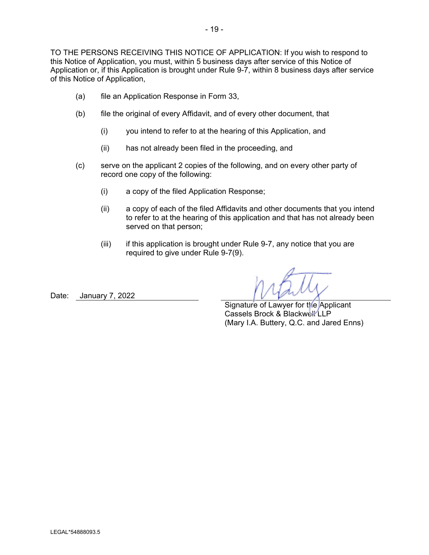TO THE PERSONS RECEIVING THIS NOTICE OF APPLICATION: If you wish to respond to this Notice of Application, you must, within 5 business days after service of this Notice of Application or, if this Application is brought under Rule 9-7, within 8 business days after service of this Notice of Application,

- (a) file an Application Response in Form 33,
- (b) file the original of every Affidavit, and of every other document, that
	- (i) you intend to refer to at the hearing of this Application, and
	- (ii) has not already been filed in the proceeding, and
- (c) serve on the applicant 2 copies of the following, and on every other party of record one copy of the following:
	- (i) a copy of the filed Application Response;
	- (ii) a copy of each of the filed Affidavits and other documents that you intend to refer to at the hearing of this application and that has not already been served on that person;
	- $(iii)$  if this application is brought under Rule 9-7, any notice that you are required to give under Rule 9-7(9).

Date: January 7, 2022

Signature of Lawyer for the Applicant Cassels Brock & Blackwell LLP (Mary I.A. Buttery, Q.C. and Jared Enns)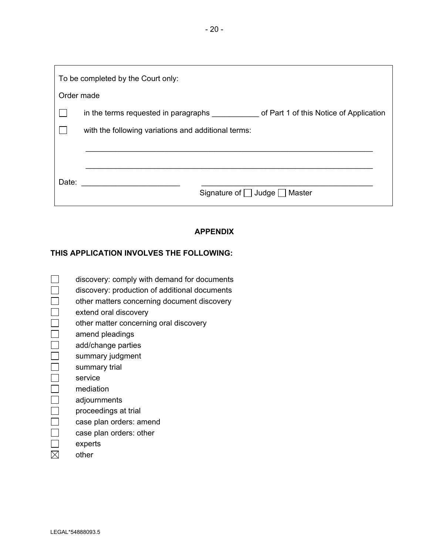To be completed by the Court only: Order made □ in the terms requested in paragraphs \_\_\_\_\_\_\_\_\_\_\_ of Part 1 of this Notice of Application  $\Box$  with the following variations and additional terms: \_\_\_\_\_\_\_\_\_\_\_\_\_\_\_\_\_\_\_\_\_\_\_\_\_\_\_\_\_\_\_\_\_\_\_\_\_\_\_\_\_\_\_\_\_\_\_\_\_\_\_\_\_\_\_\_\_\_\_\_\_\_\_\_\_\_\_ Date: \_\_\_\_\_\_\_\_\_\_\_\_\_\_\_\_\_\_\_\_\_\_\_ \_\_\_\_\_\_\_\_\_\_\_\_\_\_\_\_\_\_\_\_\_\_\_\_\_\_\_\_\_\_\_\_\_\_\_\_\_\_\_\_ Signature of □ Judge □ Master

# **APPENDIX**

## **THIS APPLICATION INVOLVES THE FOLLOWING:**

- $\Box$  discovery: comply with demand for documents
- discovery: production of additional documents
- $\Box$  other matters concerning document discovery
- $\Box$  extend oral discovery
	- other matter concerning oral discovery
- $\Box$  amend pleadings
- $\Box$  add/change parties
- $\Box$  summary judgment
- $\Box$  summary trial
- $\Box$  service
- $\Box$  mediation
- adjournments
- $\Box$  proceedings at trial
- $\Box$  case plan orders: amend
- $\Box$  case plan orders: other
- $\Box$  experts
- $\boxtimes$  other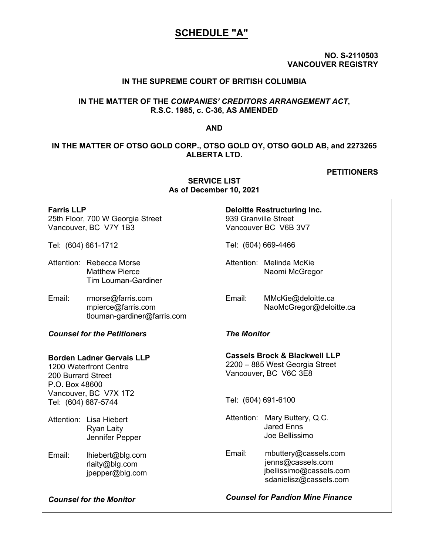# **SCHEDULE "A"**

**NO. S-2110503 VANCOUVER REGISTRY** 

## **IN THE SUPREME COURT OF BRITISH COLUMBIA**

## **IN THE MATTER OF THE** *COMPANIES' CREDITORS ARRANGEMENT ACT***, R.S.C. 1985, c. C-36, AS AMENDED**

**AND** 

## **IN THE MATTER OF OTSO GOLD CORP., OTSO GOLD OY, OTSO GOLD AB, and 2273265 ALBERTA LTD.**

#### **PETITIONERS**

|                                                                                                                                                    | PUUUIINUI IVI                                                                   |                                                                                                                            |                                                                                                |  |  |
|----------------------------------------------------------------------------------------------------------------------------------------------------|---------------------------------------------------------------------------------|----------------------------------------------------------------------------------------------------------------------------|------------------------------------------------------------------------------------------------|--|--|
| <b>Farris LLP</b><br>25th Floor, 700 W Georgia Street<br>Vancouver, BC V7Y 1B3                                                                     |                                                                                 | <b>Deloitte Restructuring Inc.</b><br>939 Granville Street<br>Vancouver BC V6B 3V7                                         |                                                                                                |  |  |
| Tel: (604) 661-1712                                                                                                                                |                                                                                 | Tel: (604) 669-4466                                                                                                        |                                                                                                |  |  |
|                                                                                                                                                    | Attention: Rebecca Morse<br><b>Matthew Pierce</b><br><b>Tim Louman-Gardiner</b> |                                                                                                                            | Attention: Melinda McKie<br>Naomi McGregor                                                     |  |  |
| Email:                                                                                                                                             | rmorse@farris.com<br>mpierce@farris.com<br>tlouman-gardiner@farris.com          | Email:                                                                                                                     | MMcKie@deloitte.ca<br>NaoMcGregor@deloitte.ca                                                  |  |  |
| <b>Counsel for the Petitioners</b>                                                                                                                 |                                                                                 | <b>The Monitor</b>                                                                                                         |                                                                                                |  |  |
| <b>Borden Ladner Gervais LLP</b><br>1200 Waterfront Centre<br>200 Burrard Street<br>P.O. Box 48600<br>Vancouver, BC V7X 1T2<br>Tel: (604) 687-5744 |                                                                                 | <b>Cassels Brock &amp; Blackwell LLP</b><br>2200 - 885 West Georgia Street<br>Vancouver, BC V6C 3E8<br>Tel: (604) 691-6100 |                                                                                                |  |  |
|                                                                                                                                                    | Attention: Lisa Hiebert<br><b>Ryan Laity</b><br>Jennifer Pepper                 |                                                                                                                            | Attention: Mary Buttery, Q.C.<br><b>Jared Enns</b><br>Joe Bellissimo                           |  |  |
| Email:                                                                                                                                             | lhiebert@blg.com<br>rlaity@blg.com<br>jpepper@blg.com                           | Email:                                                                                                                     | mbuttery@cassels.com<br>jenns@cassels.com<br>jbellissimo@cassels.com<br>sdanielisz@cassels.com |  |  |
| <b>Counsel for the Monitor</b>                                                                                                                     |                                                                                 | <b>Counsel for Pandion Mine Finance</b>                                                                                    |                                                                                                |  |  |

**SERVICE LIST As of December 10, 2021**